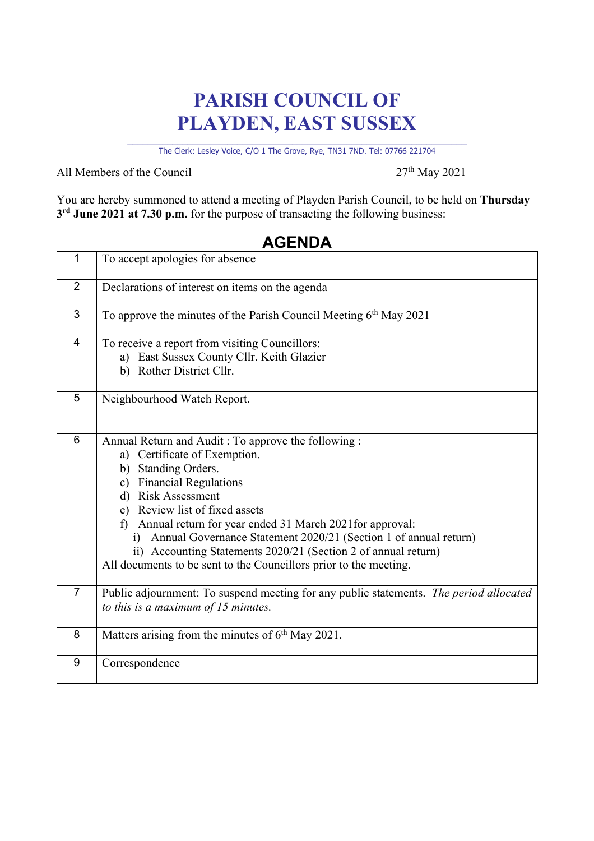## **PARISH COUNCIL OF PLAYDEN, EAST SUSSEX**

\_\_\_\_\_\_\_\_\_\_\_\_\_\_\_\_\_\_\_\_\_\_\_\_\_\_\_\_\_\_\_\_\_\_\_\_\_\_\_\_\_\_\_\_\_\_\_\_\_\_\_\_\_\_\_\_\_\_\_\_\_\_\_\_\_\_\_\_ The Clerk: Lesley Voice, C/O 1 The Grove, Rye, TN31 7ND. Tel: 07766 221704

All Members of the Council  $27<sup>th</sup>$  May 2021

You are hereby summoned to attend a meeting of Playden Parish Council, to be held on **Thursday 3rd June 2021 at 7.30 p.m.** for the purpose of transacting the following business:

| $\mathbf{1}$   | To accept apologies for absence                                                                                                                                                                                                                                                                                                                                                                                                                                                  |
|----------------|----------------------------------------------------------------------------------------------------------------------------------------------------------------------------------------------------------------------------------------------------------------------------------------------------------------------------------------------------------------------------------------------------------------------------------------------------------------------------------|
| $\overline{2}$ | Declarations of interest on items on the agenda                                                                                                                                                                                                                                                                                                                                                                                                                                  |
| 3              | To approve the minutes of the Parish Council Meeting 6th May 2021                                                                                                                                                                                                                                                                                                                                                                                                                |
| 4              | To receive a report from visiting Councillors:<br>a) East Sussex County Cllr. Keith Glazier<br>b) Rother District Cllr.                                                                                                                                                                                                                                                                                                                                                          |
| 5              | Neighbourhood Watch Report.                                                                                                                                                                                                                                                                                                                                                                                                                                                      |
| 6              | Annual Return and Audit: To approve the following:<br>a) Certificate of Exemption.<br>b) Standing Orders.<br>c) Financial Regulations<br>d) Risk Assessment<br>e) Review list of fixed assets<br>Annual return for year ended 31 March 2021 for approval:<br>f)<br>Annual Governance Statement 2020/21 (Section 1 of annual return)<br>i)<br>ii) Accounting Statements 2020/21 (Section 2 of annual return)<br>All documents to be sent to the Councillors prior to the meeting. |
| $\overline{7}$ | Public adjournment: To suspend meeting for any public statements. The period allocated<br>to this is a maximum of $15$ minutes.                                                                                                                                                                                                                                                                                                                                                  |
| 8              | Matters arising from the minutes of 6 <sup>th</sup> May 2021.                                                                                                                                                                                                                                                                                                                                                                                                                    |
| 9              | Correspondence                                                                                                                                                                                                                                                                                                                                                                                                                                                                   |

## **AGENDA**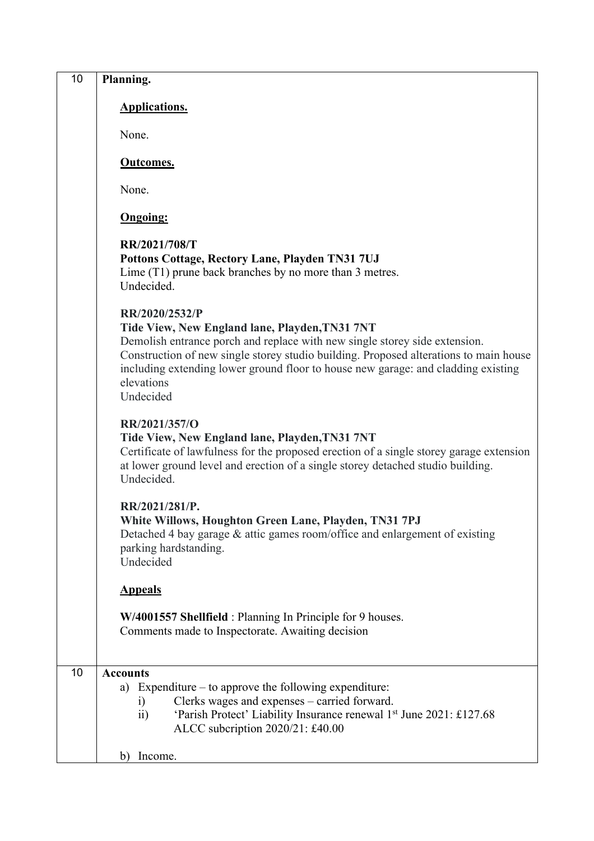| 10 | Planning.                                                                                                                                                                                                                                                                                                                             |
|----|---------------------------------------------------------------------------------------------------------------------------------------------------------------------------------------------------------------------------------------------------------------------------------------------------------------------------------------|
|    | <b>Applications.</b>                                                                                                                                                                                                                                                                                                                  |
|    | None.                                                                                                                                                                                                                                                                                                                                 |
|    | <b>Outcomes.</b>                                                                                                                                                                                                                                                                                                                      |
|    | None.                                                                                                                                                                                                                                                                                                                                 |
|    | <b>Ongoing:</b>                                                                                                                                                                                                                                                                                                                       |
|    | RR/2021/708/T<br>Pottons Cottage, Rectory Lane, Playden TN31 7UJ<br>Lime (T1) prune back branches by no more than 3 metres.<br>Undecided.<br>RR/2020/2532/P                                                                                                                                                                           |
|    | Tide View, New England lane, Playden, TN31 7NT<br>Demolish entrance porch and replace with new single storey side extension.<br>Construction of new single storey studio building. Proposed alterations to main house<br>including extending lower ground floor to house new garage: and cladding existing<br>elevations<br>Undecided |
|    | RR/2021/357/O<br>Tide View, New England lane, Playden, TN31 7NT<br>Certificate of lawfulness for the proposed erection of a single storey garage extension<br>at lower ground level and erection of a single storey detached studio building.<br>Undecided.                                                                           |
|    | RR/2021/281/P.<br>White Willows, Houghton Green Lane, Playden, TN31 7PJ<br>Detached 4 bay garage & attic games room/office and enlargement of existing<br>parking hardstanding.<br>Undecided                                                                                                                                          |
|    | <b>Appeals</b>                                                                                                                                                                                                                                                                                                                        |
|    | W/4001557 Shellfield: Planning In Principle for 9 houses.<br>Comments made to Inspectorate. Awaiting decision                                                                                                                                                                                                                         |
| 10 | <b>Accounts</b><br>a) Expenditure $-$ to approve the following expenditure:<br>Clerks wages and expenses – carried forward.<br>$\left( i\right)$<br>'Parish Protect' Liability Insurance renewal 1st June 2021: £127.68<br>$\overline{11}$<br>ALCC subcription 2020/21: £40.00                                                        |
|    | Income.<br>b)                                                                                                                                                                                                                                                                                                                         |